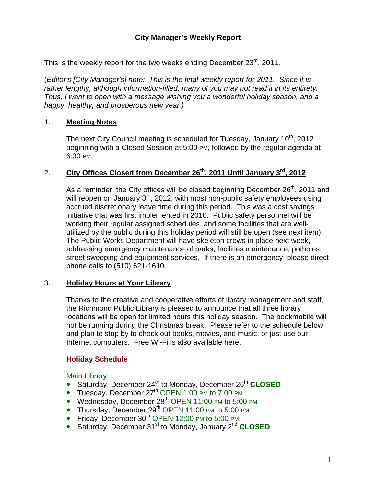# **City Manager's Weekly Report**

This is the weekly report for the two weeks ending December 23<sup>rd</sup>, 2011.

(*Editor's [City Manager's] note: This is the final weekly report for 2011. Since it is rather lengthy, although information-filled, many of you may not read it in its entirety. Thus, I want to open with a message wishing you a wonderful holiday season, and a happy, healthy, and prosperous new year.)* 

### 1. **Meeting Notes**

The next City Council meeting is scheduled for Tuesday, January 10<sup>th</sup>, 2012 beginning with a Closed Session at 5:00 PM, followed by the regular agenda at 6:30 PM.

### 2. **City Offices Closed from December 26th, 2011 Until January 3rd, 2012**

As a reminder, the City offices will be closed beginning December  $26<sup>th</sup>$ , 2011 and will reopen on January 3<sup>rd</sup>, 2012, with most non-public safety employees using accrued discretionary leave time during this period. This was a cost savings initiative that was first implemented in 2010. Public safety personnel will be working their regular assigned schedules, and some facilities that are wellutilized by the public during this holiday period will still be open (see next item). The Public Works Department will have skeleton crews in place next week, addressing emergency maintenance of parks, facilities maintenance, potholes, street sweeping and equipment services. If there is an emergency, please direct phone calls to (510) 621-1610.

# 3. **Holiday Hours at Your Library**

Thanks to the creative and cooperative efforts of library management and staff, the Richmond Public Library is pleased to announce that all three library locations will be open for limited hours this holiday season. The bookmobile will not be running during the Christmas break. Please refer to the schedule below and plan to stop by to check out books, movies, and music, or just use our Internet computers. Free Wi-Fi is also available here.

# **Holiday Schedule**

Main Library

- Saturday, December 24<sup>th</sup> to Monday, December 26<sup>th</sup> CLOSED
- Tuesday, December 27<sup>th</sup> OPEN 1:00 PM to 7:00 PM
- Wednesday, December 28<sup>th</sup> OPEN 11:00 PM to 5:00 PM
- Thursday, December 29<sup>th</sup> OPEN 11:00 PM to 5:00 PM
- Friday, December 30<sup>th</sup> OPEN 12:00 PM to 5:00 PM
- Saturday, December 31<sup>st</sup> to Monday, January 2<sup>nd</sup> CLOSED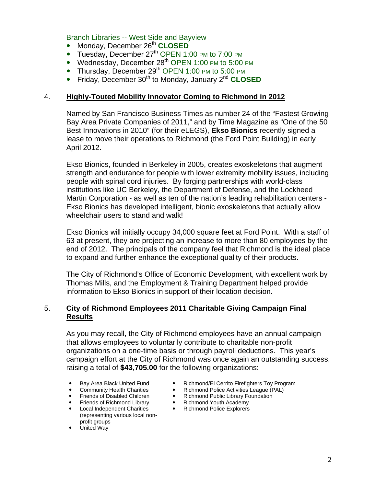Branch Libraries -- West Side and Bayview

- Monday, December 26<sup>th</sup> CLOSED
- Tuesday, December  $27<sup>th</sup>$  OPEN 1:00 PM to 7:00 PM
- Wednesday, December  $28<sup>th</sup>$  OPEN 1:00 PM to 5:00 PM
- Thursday, December  $29<sup>th</sup>$  OPEN 1:00 PM to 5:00 PM
- Friday, December 30<sup>th</sup> to Monday, January 2<sup>nd</sup> CLOSED

#### 4. **Highly-Touted Mobility Innovator Coming to Richmond in 2012**

Named by San Francisco Business Times as number 24 of the "Fastest Growing Bay Area Private Companies of 2011," and by Time Magazine as "One of the 50 Best Innovations in 2010" (for their eLEGS), **Ekso Bionics** recently signed a lease to move their operations to Richmond (the Ford Point Building) in early April 2012.

Ekso Bionics, founded in Berkeley in 2005, creates exoskeletons that augment strength and endurance for people with lower extremity mobility issues, including people with spinal cord injuries. By forging partnerships with world-class institutions like UC Berkeley, the Department of Defense, and the Lockheed Martin Corporation - as well as ten of the nation's leading rehabilitation centers - Ekso Bionics has developed intelligent, bionic exoskeletons that actually allow wheelchair users to stand and walk!

Ekso Bionics will initially occupy 34,000 square feet at Ford Point. With a staff of 63 at present, they are projecting an increase to more than 80 employees by the end of 2012. The principals of the company feel that Richmond is the ideal place to expand and further enhance the exceptional quality of their products.

The City of Richmond's Office of Economic Development, with excellent work by Thomas Mills, and the Employment & Training Department helped provide information to Ekso Bionics in support of their location decision.

### 5. **City of Richmond Employees 2011 Charitable Giving Campaign Final Results**

As you may recall, the City of Richmond employees have an annual campaign that allows employees to voluntarily contribute to charitable non-profit organizations on a one-time basis or through payroll deductions. This year's campaign effort at the City of Richmond was once again an outstanding success, raising a total of **\$43,705.00** for the following organizations:

- 
- 
- 
- Friends of Richmond Library **Construction**<br>Local Independent Charities
- Local Independent Charities (representing various local nonprofit groups
- United Way
- Bay Area Black United Fund Richmond/El Cerrito Firefighters Toy Program
- Community Health Charities **Community Health Charities Richmond Police Activities League (PAL)**<br>Friends of Disabled Children **Communisty Richmond Public Library Foundation** 
	- Richmond Public Library Foundation<br>• Richmond Youth Academy
	-
	- Richmond Police Explorers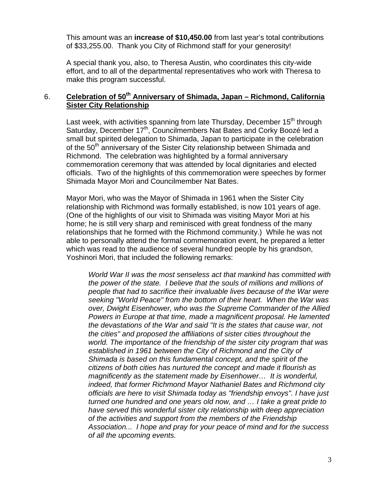This amount was an **increase of \$10,450.00** from last year's total contributions of \$33,255.00. Thank you City of Richmond staff for your generosity!

A special thank you, also, to Theresa Austin, who coordinates this city-wide effort, and to all of the departmental representatives who work with Theresa to make this program successful.

# 6. **Celebration of 50th Anniversary of Shimada, Japan – Richmond, California Sister City Relationship**

Last week, with activities spanning from late Thursday, December 15<sup>th</sup> through Saturday, December 17<sup>th</sup>, Councilmembers Nat Bates and Corky Boozé led a small but spirited delegation to Shimada, Japan to participate in the celebration of the 50<sup>th</sup> anniversary of the Sister City relationship between Shimada and Richmond. The celebration was highlighted by a formal anniversary commemoration ceremony that was attended by local dignitaries and elected officials. Two of the highlights of this commemoration were speeches by former Shimada Mayor Mori and Councilmember Nat Bates.

Mayor Mori, who was the Mayor of Shimada in 1961 when the Sister City relationship with Richmond was formally established, is now 101 years of age. (One of the highlights of our visit to Shimada was visiting Mayor Mori at his home; he is still very sharp and reminisced with great fondness of the many relationships that he formed with the Richmond community.) While he was not able to personally attend the formal commemoration event, he prepared a letter which was read to the audience of several hundred people by his grandson, Yoshinori Mori, that included the following remarks:

*World War II was the most senseless act that mankind has committed with the power of the state. I believe that the souls of millions and millions of people that had to sacrifice their invaluable lives because of the War were seeking "World Peace" from the bottom of their heart. When the War was over, Dwight Eisenhower, who was the Supreme Commander of the Allied Powers in Europe at that time, made a magnificent proposal. He lamented the devastations of the War and said "It is the states that cause war, not the cities" and proposed the affiliations of sister cities throughout the world. The importance of the friendship of the sister city program that was established in 1961 between the City of Richmond and the City of Shimada is based on this fundamental concept, and the spirit of the citizens of both cities has nurtured the concept and made it flourish as magnificently as the statement made by Eisenhower… It is wonderful, indeed, that former Richmond Mayor Nathaniel Bates and Richmond city officials are here to visit Shimada today as "friendship envoys". I have just turned one hundred and one years old now, and … I take a great pride to have served this wonderful sister city relationship with deep appreciation of the activities and support from the members of the Friendship Association... I hope and pray for your peace of mind and for the success of all the upcoming events.*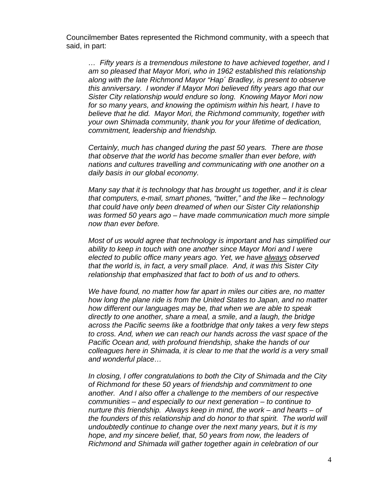Councilmember Bates represented the Richmond community, with a speech that said, in part:

*… Fifty years is a tremendous milestone to have achieved together, and I am so pleased that Mayor Mori, who in 1962 established this relationship along with the late Richmond Mayor "Hap´ Bradley, is present to observe this anniversary. I wonder if Mayor Mori believed fifty years ago that our Sister City relationship would endure so long. Knowing Mayor Mori now for so many years, and knowing the optimism within his heart, I have to believe that he did. Mayor Mori, the Richmond community, together with your own Shimada community, thank you for your lifetime of dedication, commitment, leadership and friendship.* 

*Certainly, much has changed during the past 50 years. There are those that observe that the world has become smaller than ever before, with nations and cultures travelling and communicating with one another on a daily basis in our global economy.* 

*Many say that it is technology that has brought us together, and it is clear that computers, e-mail, smart phones, "twitter," and the like – technology that could have only been dreamed of when our Sister City relationship was formed 50 years ago – have made communication much more simple now than ever before.* 

*Most of us would agree that technology is important and has simplified our ability to keep in touch with one another since Mayor Mori and I were elected to public office many years ago. Yet, we have always observed that the world is, in fact, a very small place. And, it was this Sister City relationship that emphasized that fact to both of us and to others.* 

*We have found, no matter how far apart in miles our cities are, no matter how long the plane ride is from the United States to Japan, and no matter how different our languages may be, that when we are able to speak directly to one another, share a meal, a smile, and a laugh, the bridge across the Pacific seems like a footbridge that only takes a very few steps to cross. And, when we can reach our hands across the vast space of the Pacific Ocean and, with profound friendship, shake the hands of our colleagues here in Shimada, it is clear to me that the world is a very small and wonderful place…* 

*In closing, I offer congratulations to both the City of Shimada and the City of Richmond for these 50 years of friendship and commitment to one another. And I also offer a challenge to the members of our respective communities – and especially to our next generation – to continue to nurture this friendship. Always keep in mind, the work – and hearts – of the founders of this relationship and do honor to that spirit. The world will undoubtedly continue to change over the next many years, but it is my hope, and my sincere belief, that, 50 years from now, the leaders of Richmond and Shimada will gather together again in celebration of our*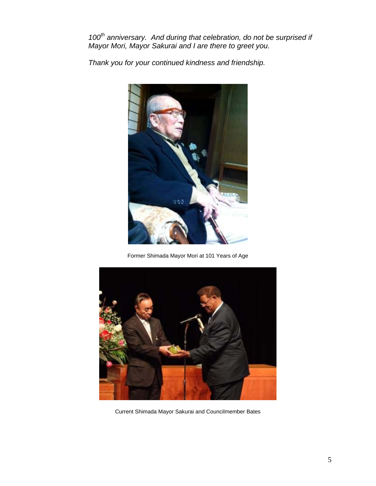100<sup>th</sup> anniversary. And during that celebration, do not be surprised if *Mayor Mori, Mayor Sakurai and I are there to greet you.* 

*Thank you for your continued kindness and friendship.*



Former Shimada Mayor Mori at 101 Years of Age



Current Shimada Mayor Sakurai and Councilmember Bates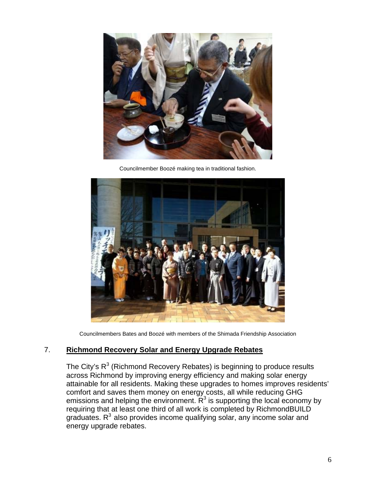

Councilmember Boozé making tea in traditional fashion.



Councilmembers Bates and Boozé with members of the Shimada Friendship Association

### 7. **Richmond Recovery Solar and Energy Upgrade Rebates**

The City's  $R^3$  (Richmond Recovery Rebates) is beginning to produce results across Richmond by improving energy efficiency and making solar energy attainable for all residents. Making these upgrades to homes improves residents' comfort and saves them money on energy costs, all while reducing GHG emissions and helping the environment.  $R<sup>3</sup>$  is supporting the local economy by requiring that at least one third of all work is completed by RichmondBUILD graduates.  $R<sup>3</sup>$  also provides income qualifying solar, any income solar and energy upgrade rebates.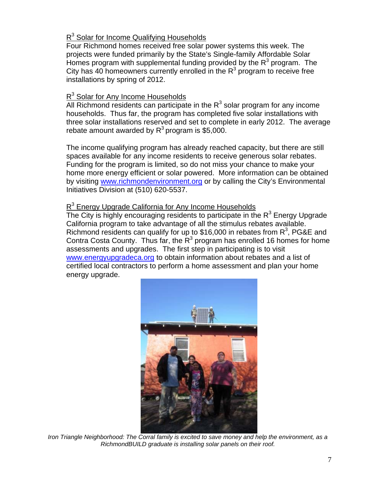# R<sup>3</sup> Solar for Income Qualifying Households

Four Richmond homes received free solar power systems this week. The projects were funded primarily by the State's Single-family Affordable Solar Homes program with supplemental funding provided by the  $R<sup>3</sup>$  program. The City has 40 homeowners currently enrolled in the  $R<sup>3</sup>$  program to receive free installations by spring of 2012.

# R<sup>3</sup> Solar for Any Income Households

All Richmond residents can participate in the  $R<sup>3</sup>$  solar program for any income households. Thus far, the program has completed five solar installations with three solar installations reserved and set to complete in early 2012. The average rebate amount awarded by  $R^3$  program is \$5,000.

The income qualifying program has already reached capacity, but there are still spaces available for any income residents to receive generous solar rebates. Funding for the program is limited, so do not miss your chance to make your home more energy efficient or solar powered. More information can be obtained by visiting [www.richmondenvironment.org](http://www.richmondenvironment.org/) or by calling the City's Environmental Initiatives Division at (510) 620-5537.

# R<sup>3</sup> Energy Upgrade California for Any Income Households

The City is highly encouraging residents to participate in the  $R<sup>3</sup>$  Energy Upgrade California program to take advantage of all the stimulus rebates available. Richmond residents can qualify for up to \$16,000 in rebates from  $R^3$ , PG&E and Contra Costa County. Thus far, the  $R^3$  program has enrolled 16 homes for home assessments and upgrades. The first step in participating is to visit [www.energyupgradeca.org](http://www.energyupgradeca.org/) to obtain information about rebates and a list of certified local contractors to perform a home assessment and plan your home energy upgrade.



*Iron Triangle Neighborhood: The Corral family is excited to save money and help the environment, as a RichmondBUILD graduate is installing solar panels on their roof.*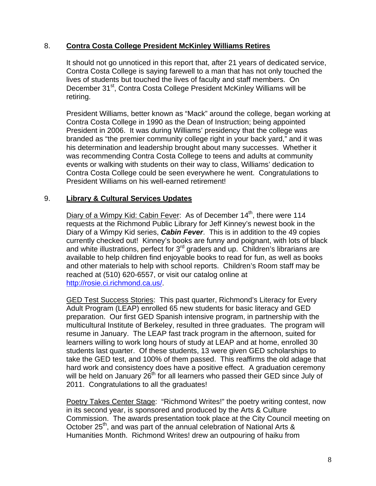### 8. **Contra Costa College President McKinley Williams Retires**

It should not go unnoticed in this report that, after 21 years of dedicated service, Contra Costa College is saying farewell to a man that has not only touched the lives of students but touched the lives of faculty and staff members. On December 31<sup>st</sup>, Contra Costa College President McKinley Williams will be retiring.

President Williams, better known as "Mack" around the college, began working at Contra Costa College in 1990 as the Dean of Instruction; being appointed President in 2006. It was during Williams' presidency that the college was branded as "the premier community college right in your back yard," and it was his determination and leadership brought about many successes. Whether it was recommending Contra Costa College to teens and adults at community events or walking with students on their way to class, Williams' dedication to Contra Costa College could be seen everywhere he went. Congratulations to President Williams on his well-earned retirement!

#### 9. **Library & Cultural Services Updates**

Diary of a Wimpy Kid: Cabin Fever: As of December 14<sup>th</sup>, there were 114 requests at the Richmond Public Library for Jeff Kinney's newest book in the Diary of a Wimpy Kid series, *Cabin Fever*. This is in addition to the 49 copies currently checked out! Kinney's books are funny and poignant, with lots of black and white illustrations, perfect for 3<sup>rd</sup> graders and up. Children's librarians are available to help children find enjoyable books to read for fun, as well as books and other materials to help with school reports. Children's Room staff may be reached at (510) 620-6557, or visit our catalog online at <http://rosie.ci.richmond.ca.us/>.

GED Test Success Stories: This past quarter, Richmond's Literacy for Every Adult Program (LEAP) enrolled 65 new students for basic literacy and GED preparation. Our first GED Spanish intensive program, in partnership with the multicultural Institute of Berkeley, resulted in three graduates. The program will resume in January. The LEAP fast track program in the afternoon, suited for learners willing to work long hours of study at LEAP and at home, enrolled 30 students last quarter. Of these students, 13 were given GED scholarships to take the GED test, and 100% of them passed. This reaffirms the old adage that hard work and consistency does have a positive effect. A graduation ceremony will be held on January 26<sup>th</sup> for all learners who passed their GED since July of 2011. Congratulations to all the graduates!

Poetry Takes Center Stage: "Richmond Writes!" the poetry writing contest, now in its second year, is sponsored and produced by the Arts & Culture Commission. The awards presentation took place at the City Council meeting on October 25<sup>th</sup>, and was part of the annual celebration of National Arts & Humanities Month. Richmond Writes! drew an outpouring of haiku from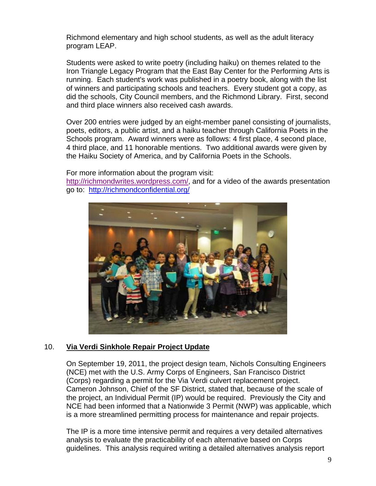Richmond elementary and high school students, as well as the adult literacy program LEAP.

Students were asked to write poetry (including haiku) on themes related to the Iron Triangle Legacy Program that the East Bay Center for the Performing Arts is running. Each student's work was published in a poetry book, along with the list of winners and participating schools and teachers. Every student got a copy, as did the schools, City Council members, and the Richmond Library. First, second and third place winners also received cash awards.

Over 200 entries were judged by an eight-member panel consisting of journalists, poets, editors, a public artist, and a haiku teacher through California Poets in the Schools program. Award winners were as follows: 4 first place, 4 second place, 4 third place, and 11 honorable mentions. Two additional awards were given by the Haiku Society of America, and by California Poets in the Schools.

For more information about the program visit:

[http://richmondwrites.wordpress.com/,](http://richmondwrites.wordpress.com/) and for a video of the awards presentation go to: <http://richmondconfidential.org/>



# 10. **Via Verdi Sinkhole Repair Project Update**

On September 19, 2011, the project design team, Nichols Consulting Engineers (NCE) met with the U.S. Army Corps of Engineers, San Francisco District (Corps) regarding a permit for the Via Verdi culvert replacement project. Cameron Johnson, Chief of the SF District, stated that, because of the scale of the project, an Individual Permit (IP) would be required. Previously the City and NCE had been informed that a Nationwide 3 Permit (NWP) was applicable, which is a more streamlined permitting process for maintenance and repair projects.

The IP is a more time intensive permit and requires a very detailed alternatives analysis to evaluate the practicability of each alternative based on Corps guidelines. This analysis required writing a detailed alternatives analysis report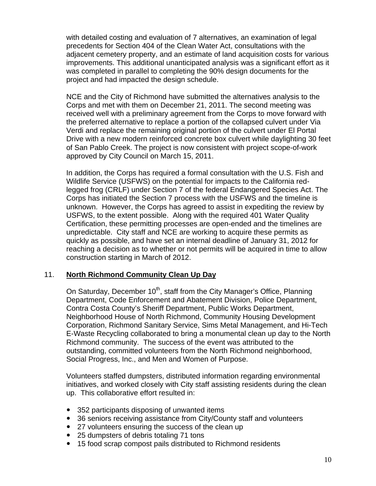with detailed costing and evaluation of 7 alternatives, an examination of legal precedents for Section 404 of the Clean Water Act, consultations with the adjacent cemetery property, and an estimate of land acquisition costs for various improvements. This additional unanticipated analysis was a significant effort as it was completed in parallel to completing the 90% design documents for the project and had impacted the design schedule.

NCE and the City of Richmond have submitted the alternatives analysis to the Corps and met with them on December 21, 2011. The second meeting was received well with a preliminary agreement from the Corps to move forward with the preferred alternative to replace a portion of the collapsed culvert under Via Verdi and replace the remaining original portion of the culvert under El Portal Drive with a new modern reinforced concrete box culvert while daylighting 30 feet of San Pablo Creek. The project is now consistent with project scope-of-work approved by City Council on March 15, 2011.

In addition, the Corps has required a formal consultation with the U.S. Fish and Wildlife Service (USFWS) on the potential for impacts to the California redlegged frog (CRLF) under Section 7 of the federal Endangered Species Act. The Corps has initiated the Section 7 process with the USFWS and the timeline is unknown. However, the Corps has agreed to assist in expediting the review by USFWS, to the extent possible. Along with the required 401 Water Quality Certification, these permitting processes are open-ended and the timelines are unpredictable. City staff and NCE are working to acquire these permits as quickly as possible, and have set an internal deadline of January 31, 2012 for reaching a decision as to whether or not permits will be acquired in time to allow construction starting in March of 2012.

# 11. **North Richmond Community Clean Up Day**

On Saturday, December 10<sup>th</sup>, staff from the City Manager's Office, Planning Department, Code Enforcement and Abatement Division, Police Department, Contra Costa County's Sheriff Department, Public Works Department, Neighborhood House of North Richmond, Community Housing Development Corporation, Richmond Sanitary Service, Sims Metal Management, and Hi-Tech E-Waste Recycling collaborated to bring a monumental clean up day to the North Richmond community. The success of the event was attributed to the outstanding, committed volunteers from the North Richmond neighborhood, Social Progress, Inc., and Men and Women of Purpose.

Volunteers staffed dumpsters, distributed information regarding environmental initiatives, and worked closely with City staff assisting residents during the clean up. This collaborative effort resulted in:

- 352 participants disposing of unwanted items
- 36 seniors receiving assistance from City/County staff and volunteers
- 27 volunteers ensuring the success of the clean up
- 25 dumpsters of debris totaling 71 tons
- 15 food scrap compost pails distributed to Richmond residents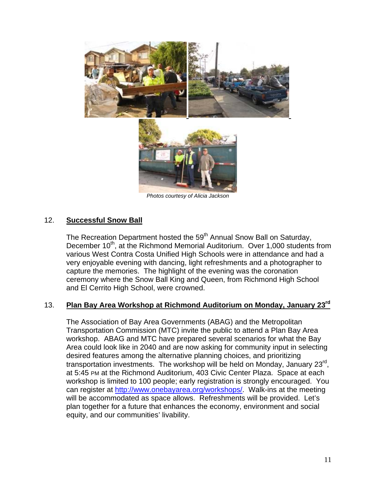

### 12. **Successful Snow Ball**

The Recreation Department hosted the 59<sup>th</sup> Annual Snow Ball on Saturday, December 10<sup>th</sup>, at the Richmond Memorial Auditorium. Over 1,000 students from various West Contra Costa Unified High Schools were in attendance and had a very enjoyable evening with dancing, light refreshments and a photographer to capture the memories. The highlight of the evening was the coronation ceremony where the Snow Ball King and Queen, from Richmond High School and El Cerrito High School, were crowned.

### 13. **Plan Bay Area Workshop at Richmond Auditorium on Monday, January 23rd**

The Association of Bay Area Governments (ABAG) and the Metropolitan Transportation Commission (MTC) invite the public to attend a Plan Bay Area workshop. ABAG and MTC have prepared several scenarios for what the Bay Area could look like in 2040 and are now asking for community input in selecting desired features among the alternative planning choices, and prioritizing transportation investments. The workshop will be held on Monday, January 23<sup>rd</sup>, at 5:45 PM at the Richmond Auditorium, 403 Civic Center Plaza. Space at each workshop is limited to 100 people; early registration is strongly encouraged. You can register at [http://www.onebayarea.org/workshops/.](http://www.onebayarea.org/workshops/) Walk-ins at the meeting will be accommodated as space allows. Refreshments will be provided. Let's plan together for a future that enhances the economy, environment and social equity, and our communities' livability.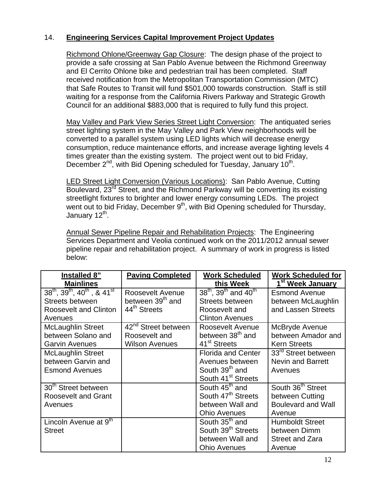# 14. **Engineering Services Capital Improvement Project Updates**

Richmond Ohlone/Greenway Gap Closure: The design phase of the project to provide a safe crossing at San Pablo Avenue between the Richmond Greenway and El Cerrito Ohlone bike and pedestrian trail has been completed. Staff received notification from the Metropolitan Transportation Commission (MTC) that Safe Routes to Transit will fund \$501,000 towards construction. Staff is still waiting for a response from the California Rivers Parkway and Strategic Growth Council for an additional \$883,000 that is required to fully fund this project.

May Valley and Park View Series Street Light Conversion: The antiquated series street lighting system in the May Valley and Park View neighborhoods will be converted to a parallel system using LED lights which will decrease energy consumption, reduce maintenance efforts, and increase average lighting levels 4 times greater than the existing system. The project went out to bid Friday, December  $2^{nd}$ , with Bid Opening scheduled for Tuesday, January 10<sup>th</sup>.

LED Street Light Conversion (Various Locations): San Pablo Avenue, Cutting Boulevard, 23<sup>rd</sup> Street, and the Richmond Parkway will be converting its existing streetlight fixtures to brighter and lower energy consuming LEDs. The project went out to bid Friday, December 9<sup>th</sup>, with Bid Opening scheduled for Thursday, January 12<sup>th</sup>.

Annual Sewer Pipeline Repair and Rehabilitation Projects: The Engineering Services Department and Veolia continued work on the 2011/2012 annual sewer pipeline repair and rehabilitation project. A summary of work in progress is listed below:

| Installed 8"                                    | <b>Paving Completed</b>         | <b>Work Scheduled</b>               | <b>Work Scheduled for</b>     |
|-------------------------------------------------|---------------------------------|-------------------------------------|-------------------------------|
| <b>Mainlines</b>                                |                                 | this Week                           | 1 <sup>st</sup> Week January  |
| $38^{th}$ , $39^{th}$ , $40^{th}$ , & $41^{st}$ | <b>Roosevelt Avenue</b>         | $38^{th}$ , $39^{th}$ and $40^{th}$ | <b>Esmond Avenue</b>          |
| <b>Streets between</b>                          | between 39 <sup>th</sup> and    | <b>Streets between</b>              | between McLaughlin            |
| <b>Roosevelt and Clinton</b>                    | 44 <sup>th</sup> Streets        | Roosevelt and                       | and Lassen Streets            |
| Avenues                                         |                                 | <b>Clinton Avenues</b>              |                               |
| <b>McLaughlin Street</b>                        | 42 <sup>nd</sup> Street between | Roosevelt Avenue                    | McBryde Avenue                |
| between Solano and                              | Roosevelt and                   | between 38 <sup>th</sup> and        | between Amador and            |
| <b>Garvin Avenues</b>                           | <b>Wilson Avenues</b>           | 41 <sup>st</sup> Streets            | <b>Kern Streets</b>           |
| <b>McLaughlin Street</b>                        |                                 | <b>Florida and Center</b>           | 33rd Street between           |
| between Garvin and                              |                                 | Avenues between                     | <b>Nevin and Barrett</b>      |
| <b>Esmond Avenues</b>                           |                                 | South 39 <sup>th</sup> and          | Avenues                       |
|                                                 |                                 | South 41 <sup>st</sup> Streets      |                               |
| 30th Street between                             |                                 | South 45 <sup>th</sup> and          | South 36 <sup>th</sup> Street |
| <b>Roosevelt and Grant</b>                      |                                 | South 47 <sup>th</sup> Streets      | between Cutting               |
| Avenues                                         |                                 | between Wall and                    | <b>Boulevard and Wall</b>     |
|                                                 |                                 | <b>Ohio Avenues</b>                 | Avenue                        |
| Lincoln Avenue at 9 <sup>th</sup>               |                                 | South 35 <sup>th</sup> and          | <b>Humboldt Street</b>        |
| <b>Street</b>                                   |                                 | South 39 <sup>th</sup> Streets      | between Dimm                  |
|                                                 |                                 | between Wall and                    | <b>Street and Zara</b>        |
|                                                 |                                 | <b>Ohio Avenues</b>                 | Avenue                        |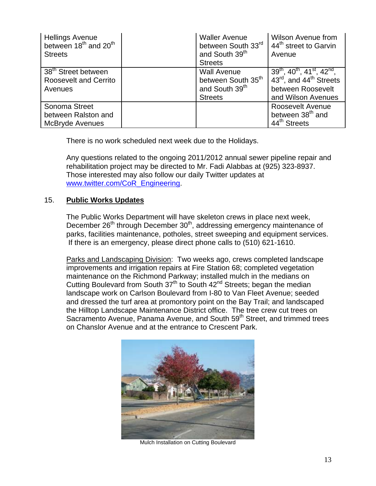| <b>Hellings Avenue</b><br>between 18 <sup>th</sup> and 20 <sup>th</sup><br><b>Streets</b> | <b>Waller Avenue</b><br>between South 33rd<br>and South 39 <sup>th</sup><br><b>Streets</b>           | <b>Wilson Avenue from</b><br>44 <sup>th</sup> street to Garvin<br>Avenue                                                         |
|-------------------------------------------------------------------------------------------|------------------------------------------------------------------------------------------------------|----------------------------------------------------------------------------------------------------------------------------------|
| 38 <sup>th</sup> Street between<br><b>Roosevelt and Cerrito</b><br>Avenues                | <b>Wall Avenue</b><br>between South 35 <sup>th</sup><br>and South 39 <sup>th</sup><br><b>Streets</b> | $39^{th}$ , $40^{th}$ , $41^{st}$ , $42^{nd}$ ,<br>43rd, and 44 <sup>th</sup> Streets<br>between Roosevelt<br>and Wilson Avenues |
| Sonoma Street<br>between Ralston and<br><b>McBryde Avenues</b>                            |                                                                                                      | Roosevelt Avenue<br>between 38 <sup>th</sup> and<br>44 <sup>th</sup> Streets                                                     |

There is no work scheduled next week due to the Holidays.

Any questions related to the ongoing 2011/2012 annual sewer pipeline repair and rehabilitation project may be directed to Mr. Fadi Alabbas at (925) 323-8937. Those interested may also follow our daily Twitter updates at [www.twitter.com/CoR\\_Engineering](http://www.twitter.com/CoR_Engineering).

# 15. **Public Works Updates**

The Public Works Department will have skeleton crews in place next week, December 26<sup>th</sup> through December 30<sup>th</sup>, addressing emergency maintenance of parks, facilities maintenance, potholes, street sweeping and equipment services. If there is an emergency, please direct phone calls to (510) 621-1610.

Parks and Landscaping Division: Two weeks ago, crews completed landscape improvements and irrigation repairs at Fire Station 68; completed vegetation maintenance on the Richmond Parkway; installed mulch in the medians on Cutting Boulevard from South  $37<sup>th</sup>$  to South  $42<sup>nd</sup>$  Streets; began the median landscape work on Carlson Boulevard from I-80 to Van Fleet Avenue; seeded and dressed the turf area at promontory point on the Bay Trail; and landscaped the Hilltop Landscape Maintenance District office. The tree crew cut trees on Sacramento Avenue, Panama Avenue, and South 59<sup>th</sup> Street, and trimmed trees on Chanslor Avenue and at the entrance to Crescent Park.



Mulch Installation on Cutting Boulevard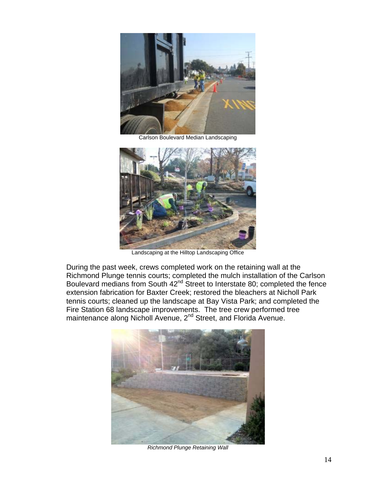

Carlson Boulevard Median Landscaping



Landscaping at the Hilltop Landscaping Office

During the past week, crews completed work on the retaining wall at the Richmond Plunge tennis courts; completed the mulch installation of the Carlson Boulevard medians from South 42<sup>nd</sup> Street to Interstate 80; completed the fence extension fabrication for Baxter Creek; restored the bleachers at Nicholl Park tennis courts; cleaned up the landscape at Bay Vista Park; and completed the Fire Station 68 landscape improvements. The tree crew performed tree maintenance along Nicholl Avenue, 2nd Street, and Florida Avenue.



*Richmond Plunge Retaining Wall*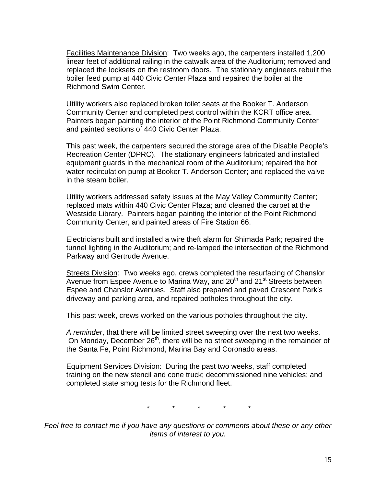Facilities Maintenance Division: Two weeks ago, the carpenters installed 1,200 linear feet of additional railing in the catwalk area of the Auditorium; removed and replaced the locksets on the restroom doors. The stationary engineers rebuilt the boiler feed pump at 440 Civic Center Plaza and repaired the boiler at the Richmond Swim Center.

Utility workers also replaced broken toilet seats at the Booker T. Anderson Community Center and completed pest control within the KCRT office area. Painters began painting the interior of the Point Richmond Community Center and painted sections of 440 Civic Center Plaza.

This past week, the carpenters secured the storage area of the Disable People's Recreation Center (DPRC). The stationary engineers fabricated and installed equipment guards in the mechanical room of the Auditorium; repaired the hot water recirculation pump at Booker T. Anderson Center; and replaced the valve in the steam boiler.

Utility workers addressed safety issues at the May Valley Community Center; replaced mats within 440 Civic Center Plaza; and cleaned the carpet at the Westside Library. Painters began painting the interior of the Point Richmond Community Center, and painted areas of Fire Station 66.

Electricians built and installed a wire theft alarm for Shimada Park; repaired the tunnel lighting in the Auditorium; and re-lamped the intersection of the Richmond Parkway and Gertrude Avenue.

Streets Division: Two weeks ago, crews completed the resurfacing of Chanslor Avenue from Espee Avenue to Marina Way, and 20<sup>th</sup> and 21<sup>st</sup> Streets between Espee and Chanslor Avenues. Staff also prepared and paved Crescent Park's driveway and parking area, and repaired potholes throughout the city.

This past week, crews worked on the various potholes throughout the city.

*A reminder*, that there will be limited street sweeping over the next two weeks. On Monday, December 26<sup>th</sup>, there will be no street sweeping in the remainder of the Santa Fe, Point Richmond, Marina Bay and Coronado areas.

Equipment Services Division: During the past two weeks, staff completed training on the new stencil and cone truck; decommissioned nine vehicles; and completed state smog tests for the Richmond fleet.

\* \* \* \* \*

*Feel free to contact me if you have any questions or comments about these or any other items of interest to you.*